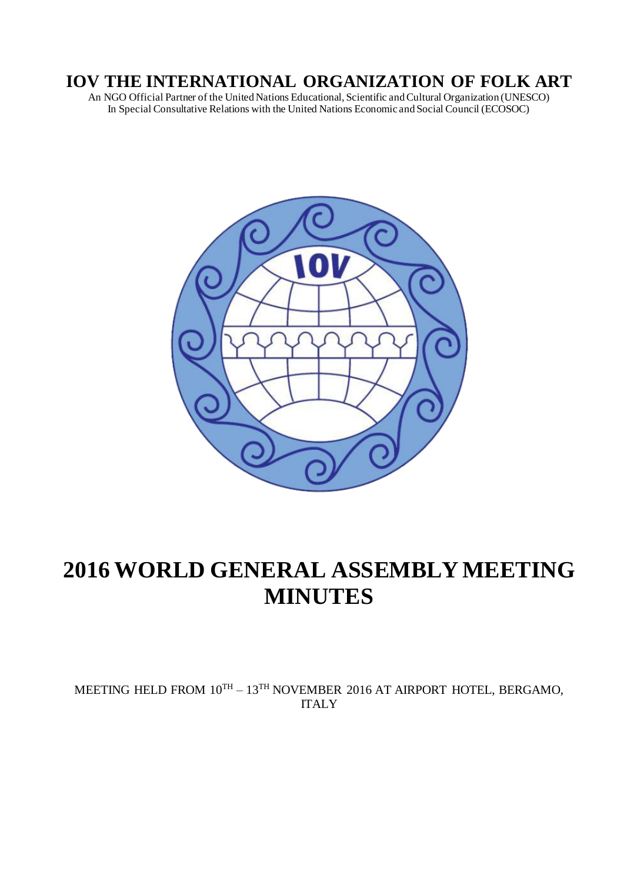# **IOV THE INTERNATIONAL ORGANIZATION OF FOLK ART**

An NGO Official Partner of the United Nations Educational, Scientific and Cultural Organization (UNESCO) In Special Consultative Relations with the United Nations Economic and Social Council (ECOSOC)



# **2016 WORLD GENERAL ASSEMBLY MEETING MINUTES**

MEETING HELD FROM  $10^{TH} - 13^{TH}$  NOVEMBER 2016 AT AIRPORT HOTEL, BERGAMO, ITALY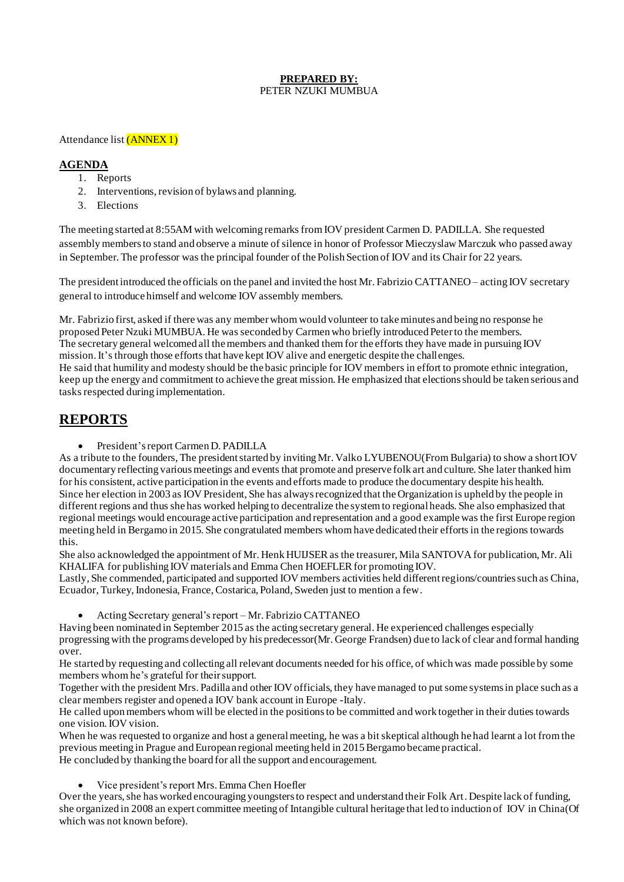#### **PREPARED BY:** PETER NZUKI MUMBUA

#### Attendance list (ANNEX 1)

#### **AGENDA**

- 1. Reports
- 2. Interventions, revision of bylaws and planning.
- 3. Elections

The meeting started at 8:55AM with welcoming remarks from IOV president Carmen D. PADILLA. She requested assembly members to stand and observe a minute of silence in honor of Professor Mieczyslaw Marczuk who passed away in September. The professor was the principal founder of the Polish Section of IOV and its Chair for 22 years.

The president introduced the officials on the panel and invited the host Mr. Fabrizio CATTANEO – acting IOV secretary general to introduce himself and welcome IOV assembly members.

Mr. Fabrizio first, asked if there was any member whom would volunteer to take minutes and being no response he proposed Peter Nzuki MUMBUA. He was seconded by Carmen who briefly introduced Peter to the members. The secretary general welcomed all the members and thanked them for the efforts they have made in pursuing IOV mission. It's through those efforts that have kept IOV alive and energetic despite the challenges. He said that humility and modesty should be the basic principle for IOV members in effort to promote ethnic integration, keep up the energy and commitment to achieve the great mission. He emphasized that elections should be taken serious and tasks respected during implementation.

## **REPORTS**

• President's report Carmen D. PADILLA

As a tribute to the founders, The president started by inviting Mr. Valko LYUBENOU(From Bulgaria) to show a short IOV documentary reflecting various meetings and events that promote and preserve folk art and culture. She later thanked him for his consistent, active participation in the events and efforts made to produce the documentary despite his health. Since her election in 2003 as IOV President, She has always recognized that the Organization is upheld by the people in different regions and thus she has worked helping to decentralize the system to regional heads. She also emphasized that regional meetings would encourage active participation and representation and a good example was the first Europe region meeting held in Bergamo in 2015. She congratulated members whom have dedicated their efforts in the regions towards this.

She also acknowledged the appointment of Mr. Henk HUIJSER as the treasurer, Mila SANTOVA for publication, Mr. Ali KHALIFA for publishing IOV materials and Emma Chen HOEFLER for promoting IOV.

Lastly, She commended, participated and supported IOV members activities held different regions/countries such as China, Ecuador, Turkey, Indonesia, France, Costarica, Poland, Sweden just to mention a few.

• Acting Secretary general's report – Mr. Fabrizio CATTANEO

Having been nominated in September 2015 as the acting secretary general. He experienced challenges especially progressing with the programs developed by his predecessor(Mr. George Frandsen) due to lack of clear and formal handing over.

He started by requesting and collecting all relevant documents needed for his office, of which was made possible by some members whom he's grateful for their support.

Together with the president Mrs. Padilla and other IOV officials, they have managed to put some systems in place such as a clear members register and opened a IOV bank account in Europe -Italy.

He called upon members whom will be elected in the positions to be committed and work together in their duties towards one vision. IOV vision.

When he was requested to organize and host a general meeting, he was a bit skeptical although he had learnt a lot from the previous meeting in Prague and European regional meeting held in 2015 Bergamo became practical. He concluded by thanking the board for all the support and encouragement.

• Vice president's report Mrs. Emma Chen Hoefler

Over the years, she has worked encouraging youngsters to respect and understand their Folk Art. Despite lack of funding, she organized in 2008 an expert committee meeting of Intangible cultural heritage that led to induction of IOV in China(Of which was not known before).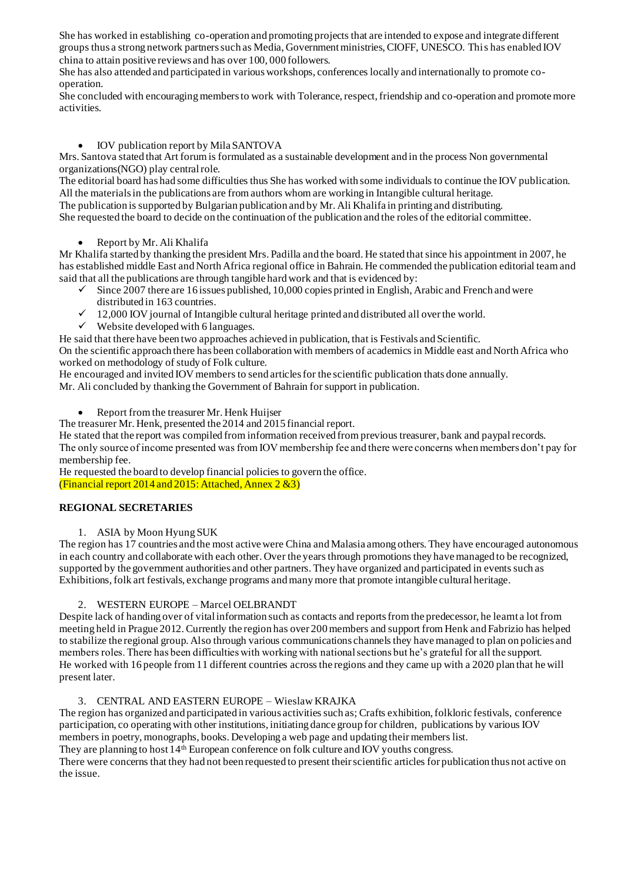She has worked in establishing co-operation and promoting projects that are intended to expose and integrate different groups thus a strong network partners such as Media, Government ministries, CIOFF, UNESCO. This has enabled IOV china to attain positive reviews and has over 100, 000 followers.

She has also attended and participated in various workshops, conferences locally and internationally to promote cooperation.

She concluded with encouraging members to work with Tolerance, respect, friendship and co-operation and promote more activities.

#### • IOV publication report by Mila SANTOVA

Mrs. Santova stated that Art forum is formulated as a sustainable development and in the process Non governmental organizations(NGO) play central role.

The editorial board has had some difficulties thus She has worked with some individuals to continue the IOV publication. All the materials in the publications are from authors whom are working in Intangible cultural heritage. The publication is supported by Bulgarian publication and by Mr. Ali Khalifa in printing and distributing.

She requested the board to decide on the continuation of the publication and the roles of the editorial committee.

• Report by Mr. Ali Khalifa

Mr Khalifa started by thanking the president Mrs. Padilla and the board. He stated that since his appointment in 2007, he has established middle East and North Africa regional office in Bahrain. He commended the publication editorial team and said that all the publications are through tangible hard work and that is evidenced by:

- $\checkmark$  Since 2007 there are 16 issues published, 10,000 copies printed in English, Arabic and French and were distributed in 163 countries.
- $\checkmark$  12,000 IOV journal of Intangible cultural heritage printed and distributed all over the world.
- $\checkmark$  Website developed with 6 languages.

He said that there have been two approaches achieved in publication, that is Festivals and Scientific.

On the scientific approach there has been collaboration with members of academics in Middle east and North Africa who worked on methodology of study of Folk culture.

He encouraged and invited IOV members to send articles for the scientific publication thats done annually.

Mr. Ali concluded by thanking the Government of Bahrain for support in publication.

• Report from the treasurer Mr. Henk Huijser

The treasurer Mr. Henk, presented the 2014 and 2015 financial report.

He stated that the report was compiled from information received from previous treasurer, bank and paypal records.

The only source of income presented was from IOV membership fee and there were concerns when members don't pay for membership fee.

He requested the board to develop financial policies to govern the office. (Financial report 2014 and 2015: Attached, Annex 2 &3)

#### **REGIONAL SECRETARIES**

#### 1. ASIA by Moon Hyung SUK

The region has 17 countries and the most active were China and Malasia among others. They have encouraged autonomous in each country and collaborate with each other. Over the years through promotions they have managed to be recognized, supported by the government authorities and other partners. They have organized and participated in events such as Exhibitions, folk art festivals, exchange programs and many more that promote intangible cultural heritage.

#### 2. WESTERN EUROPE – Marcel OELBRANDT

Despite lack of handing over of vital information such as contacts and reports from the predecessor, he learnt a lot from meeting held in Prague 2012. Currently the region has over 200 members and support from Henk and Fabrizio has helped to stabilize the regional group. Also through various communications channels they have managed to plan on policies and members roles. There has been difficulties with working with national sections but he's grateful for all the support. He worked with 16 people from 11 different countries across the regions and they came up with a 2020 plan that he will present later.

#### 3. CENTRAL AND EASTERN EUROPE – Wieslaw KRAJKA

The region has organized and participated in various activities such as; Crafts exhibition, folkloric festivals, conference participation, co operating with other institutions, initiating dance group for children, publications by various IOV members in poetry, monographs, books. Developing a web page and updating their members list.

They are planning to host 14<sup>th</sup> European conference on folk culture and IOV youths congress.

There were concerns that they had not been requested to present their scientific articles for publication thus not active on the issue.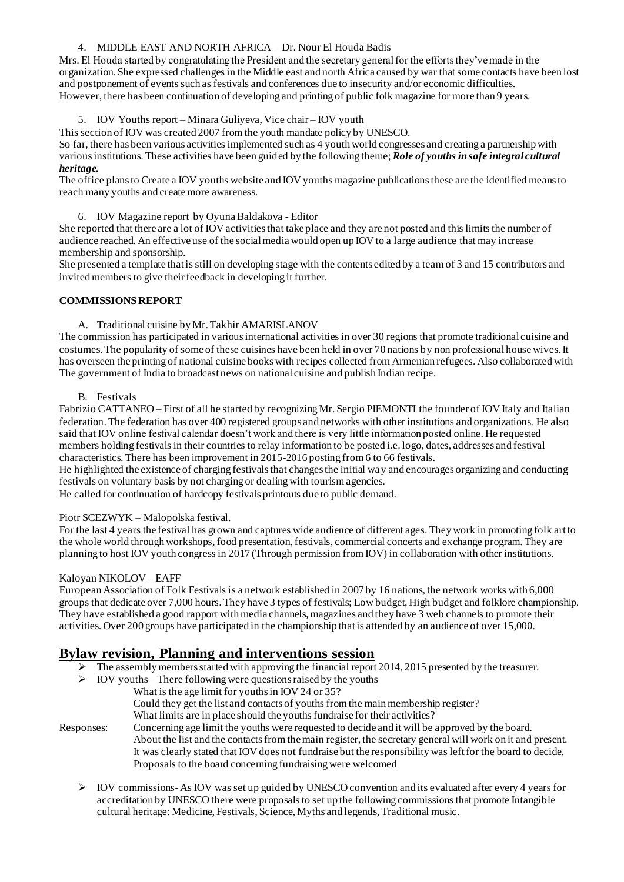#### 4. MIDDLE EAST AND NORTH AFRICA – Dr. Nour El Houda Badis

Mrs. El Houda started by congratulating the President and the secretary general for the efforts they've made in the organization. She expressed challenges in the Middle east and north Africa caused by war that some contacts have been lost and postponement of events such as festivals and conferences due to insecurity and/or economic difficulties. However, there has been continuation of developing and printing of public folk magazine for more than 9 years.

#### 5. IOV Youths report – Minara Guliyeva, Vice chair – IOV youth

This section of IOV was created 2007 from the youth mandate policy by UNESCO.

So far, there has been various activities implemented such as 4 youth world congresses and creating a partnership with various institutions. These activities have been guided by the following theme; *Role of youths in safe integral cultural heritage.*

The office plans to Create a IOV youths website and IOV youths magazine publications these are the identified means to reach many youths and create more awareness.

6. IOV Magazine report by Oyuna Baldakova - Editor

She reported that there are a lot of IOV activities that take place and they are not posted and this limits the number of audience reached. An effective use of the social media would open up IOV to a large audience that may increase membership and sponsorship.

She presented a template that is still on developing stage with the contents edited by a team of 3 and 15 contributors and invited members to give their feedback in developing it further.

#### **COMMISSIONS REPORT**

A. Traditional cuisine by Mr. Takhir AMARISLANOV

The commission has participated in various international activities in over 30 regions that promote traditional cuisine and costumes. The popularity of some of these cuisines have been held in over 70 nations by non professional house wives. It has overseen the printing of national cuisine books with recipes collected from Armenian refugees. Also collaborated with The government of India to broadcast news on national cuisine and publish Indian recipe.

#### B. Festivals

Fabrizio CATTANEO – First of all he started by recognizing Mr. Sergio PIEMONTI the founder of IOV Italy and Italian federation. The federation has over 400 registered groups and networks with other institutions and organizations. He also said that IOV online festival calendar doesn't work and there is very little information posted online. He requested members holding festivals in their countries to relay information to be posted i.e. logo, dates, addresses and festival characteristics. There has been improvement in 2015-2016 posting from 6 to 66 festivals.

He highlighted the existence of charging festivals that changes the initial way and encourages organizing and conducting festivals on voluntary basis by not charging or dealing with tourism agencies.

He called for continuation of hardcopy festivals printouts due to public demand.

#### Piotr SCEZWYK – Malopolska festival.

For the last 4 years the festival has grown and captures wide audience of different ages. They work in promoting folk art to the whole world through workshops, food presentation, festivals, commercial concerts and exchange program. They are planning to host IOV youth congress in 2017 (Through permission from IOV) in collaboration with other institutions.

#### Kaloyan NIKOLOV – EAFF

European Association of Folk Festivals is a network established in 2007 by 16 nations, the network works with 6,000 groups that dedicate over 7,000 hours. They have 3 types of festivals; Low budget, High budget and folklore championship. They have established a good rapport with media channels, magazines and they have 3 web channels to promote their activities. Over 200 groups have participated in the championship that is attended by an audience of over 15,000.

## **Bylaw revision, Planning and interventions session**

- $\triangleright$  The assembly members started with approving the financial report 2014, 2015 presented by the treasurer.
- $\triangleright$  IOV youths There following were questions raised by the youths
	- What is the age limit for youths in IOV 24 or 35?
		- Could they get the list and contacts of youths from the main membership register?
		- What limits are in place should the youths fundraise for their activities?

Responses: Concerning age limit the youths were requested to decide and it will be approved by the board. About the list and the contacts from the main register, the secretary general will work on it and present. It was clearly stated that IOV does not fundraise but the responsibility was left for the board to decide. Proposals to the board concerning fundraising were welcomed

 $\triangleright$  IOV commissions-As IOV was set up guided by UNESCO convention and its evaluated after every 4 years for accreditation by UNESCO there were proposals to set up the following commissions that promote Intangible cultural heritage: Medicine, Festivals, Science, Myths and legends, Traditional music.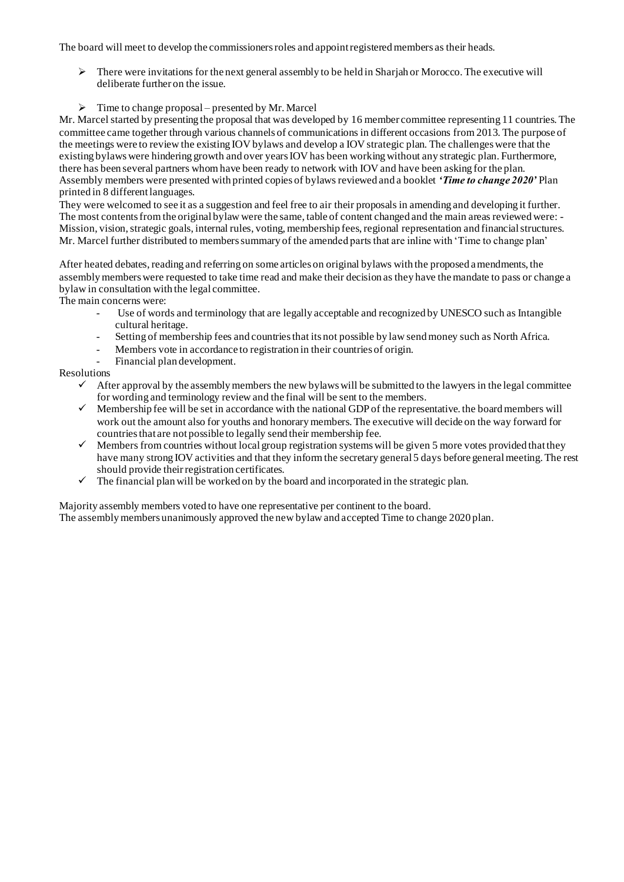The board will meet to develop the commissioners roles and appoint registered members as their heads.

- $\triangleright$  There were invitations for the next general assembly to be held in Sharjah or Morocco. The executive will deliberate further on the issue.
- $\triangleright$  Time to change proposal presented by Mr. Marcel

Mr. Marcel started by presenting the proposal that was developed by 16 member committee representing 11 countries. The committee came together through various channels of communications in different occasions from 2013. The purpose of the meetings were to review the existing IOV bylaws and develop a IOV strategic plan. The challenges were that the existing bylaws were hindering growth and over years IOV has been working without any strategic plan. Furthermore, there has been several partners whom have been ready to network with IOV and have been asking for the plan. Assembly members were presented with printed copies of bylaws reviewed and a booklet *'Time to change 2020'* Plan printed in 8 different languages.

They were welcomed to see it as a suggestion and feel free to air their proposals in amending and developing it further. The most contents from the original bylaw were the same, table of content changed and the main areas reviewed were: - Mission, vision, strategic goals, internal rules, voting, membership fees, regional representation and financial structures. Mr. Marcel further distributed to members summary of the amended parts that are inline with 'Time to change plan'

After heated debates, reading and referring on some articles on original bylaws with the proposed amendments, the assembly members were requested to take time read and make their decision as they have the mandate to pass or change a bylaw in consultation with the legal committee.

The main concerns were:

- Use of words and terminology that are legally acceptable and recognized by UNESCO such as Intangible cultural heritage.
- Setting of membership fees and countries that its not possible by law send money such as North Africa.
- Members vote in accordance to registration in their countries of origin.
- Financial plan development.

#### Resolutions

- $\checkmark$  After approval by the assembly members the new bylaws will be submitted to the lawyers in the legal committee for wording and terminology review and the final will be sent to the members.
- $\checkmark$  Membership fee will be set in accordance with the national GDP of the representative. the board members will work out the amount also for youths and honorary members. The executive will decide on the way forward for countries that are not possible to legally send their membership fee.
- $\checkmark$  Members from countries without local group registration systems will be given 5 more votes provided that they have many strong IOV activities and that they inform the secretary general 5 days before general meeting. The rest should provide their registration certificates.
- $\checkmark$  The financial plan will be worked on by the board and incorporated in the strategic plan.

Majority assembly members voted to have one representative per continent to the board. The assembly members unanimously approved the new bylaw and accepted Time to change 2020 plan.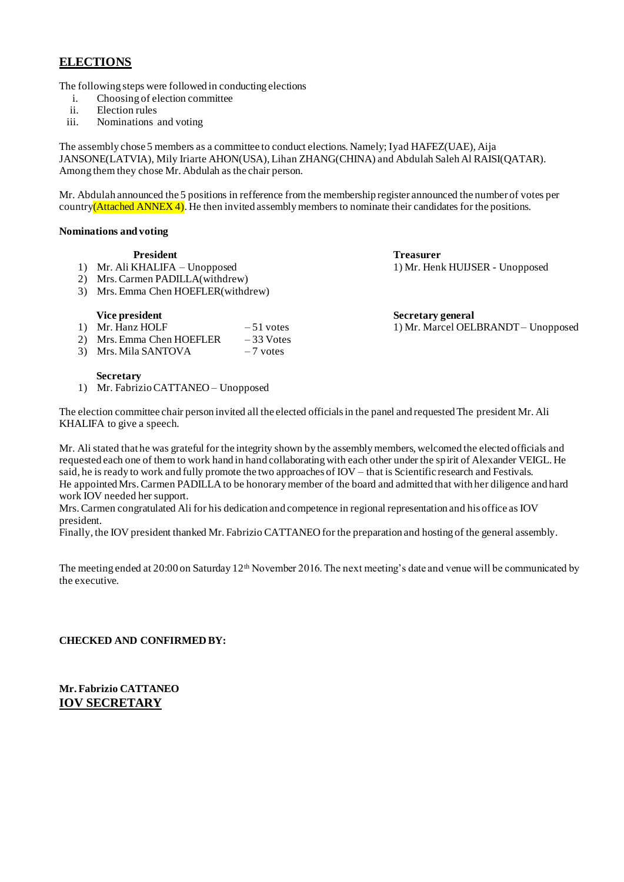## **ELECTIONS**

The following steps were followed in conducting elections

- i. Choosing of election committee
- ii. Election rules
- iii. Nominations and voting

The assembly chose 5 members as a committee to conduct elections. Namely; Iyad HAFEZ(UAE), Aija JANSONE(LATVIA), Mily Iriarte AHON(USA), Lihan ZHANG(CHINA) and Abdulah Saleh Al RAISI(QATAR). Among them they chose Mr. Abdulah as the chair person.

Mr. Abdulah announced the 5 positions in refference from the membership register announced the number of votes per country(Attached ANNEX 4). He then invited assembly members to nominate their candidates for the positions.

#### **Nominations and voting**

- 1) Mr. Ali KHALIFA Unopposed 1) Mr. Henk HUIJSER Unopposed
- 2) Mrs. Carmen PADILLA(withdrew)
- 3) Mrs. Emma Chen HOEFLER(withdrew)

#### **Vice president Secretary general Secretary general Secretary general Secretary general Secretary general Secretary general Secretary general Secretary general Secretary general Secretary general Secretary general Secretar**

- 1) Mr. Hanz HOLF 51 votes 1) Mr. Marcel OELBRANDT Unopposed<br>
2) Mrs. Emma Chen HOEFLER 33 Votes 2) Mrs. Emma Chen HOEFLER
- 
- 3) Mrs. Mila SANTOVA 7 votes

# **President Treasurer**

#### **Secretary**

1) Mr. Fabrizio CATTANEO – Unopposed

The election committee chair person invited all the elected officials in the panel and requested The president Mr. Ali KHALIFA to give a speech.

Mr. Ali stated that he was grateful for the integrity shown by the assembly members, welcomed the elected officials and requested each one of them to work hand in hand collaborating with each other under the spirit of Alexander VEIGL. He said, he is ready to work and fully promote the two approaches of IOV – that is Scientific research and Festivals. He appointed Mrs. Carmen PADILLA to be honorary member of the board and admitted that with her diligence and hard work IOV needed her support.

Mrs. Carmen congratulated Ali for his dedication and competence in regional representation and his office as IOV president.

Finally, the IOV president thanked Mr. Fabrizio CATTANEO for the preparation and hosting of the general assembly.

The meeting ended at 20:00 on Saturday  $12<sup>th</sup>$  November 2016. The next meeting's date and venue will be communicated by the executive.

#### **CHECKED AND CONFIRMED BY:**

**Mr. Fabrizio CATTANEO IOV SECRETARY**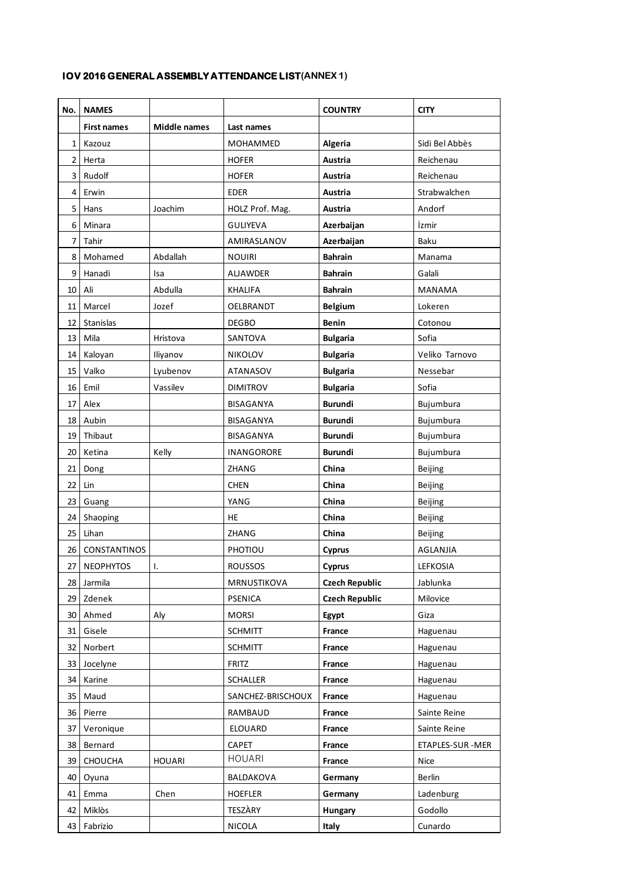### **IOV 2016 GENERAL ASSEMBLY ATTENDANCE LIST(ANNEX 1)**

| No.             | <b>NAMES</b>       |                     |                   | <b>COUNTRY</b>        | <b>CITY</b>      |
|-----------------|--------------------|---------------------|-------------------|-----------------------|------------------|
|                 | <b>First names</b> | <b>Middle names</b> | Last names        |                       |                  |
| $\mathbf{1}$    | Kazouz             |                     | MOHAMMED          | Algeria               | Sidi Bel Abbès   |
| $\overline{2}$  | Herta              |                     | <b>HOFER</b>      | <b>Austria</b>        | Reichenau        |
| 3               | Rudolf             |                     | <b>HOFER</b>      | Austria               | Reichenau        |
| 4               | Erwin              |                     | <b>EDER</b>       | Austria               | Strabwalchen     |
| 5               | Hans               | Joachim             | HOLZ Prof. Mag.   | Austria               | Andorf           |
| 6               | Minara             |                     | <b>GULIYEVA</b>   | Azerbaijan            | İzmir            |
| 7               | Tahir              |                     | AMIRASLANOV       | Azerbaijan            | Baku             |
| 8               | Mohamed            | Abdallah            | <b>NOUIRI</b>     | <b>Bahrain</b>        | Manama           |
| 9               | Hanadi             | Isa                 | <b>ALJAWDER</b>   | <b>Bahrain</b>        | Galali           |
| 10              | Ali                | Abdulla             | <b>KHALIFA</b>    | <b>Bahrain</b>        | MANAMA           |
| 11              | Marcel             | Jozef               | OELBRANDT         | <b>Belgium</b>        | Lokeren          |
| 12              | Stanislas          |                     | <b>DEGBO</b>      | <b>Benin</b>          | Cotonou          |
| 13              | Mila               | Hristova            | SANTOVA           | <b>Bulgaria</b>       | Sofia            |
| 14              | Kaloyan            | Iliyanov            | <b>NIKOLOV</b>    | <b>Bulgaria</b>       | Veliko Tarnovo   |
| 15              | Valko              | Lyubenov            | <b>ATANASOV</b>   | <b>Bulgaria</b>       | Nessebar         |
| 16              | Emil               | Vassilev            | <b>DIMITROV</b>   | <b>Bulgaria</b>       | Sofia            |
| 17              | Alex               |                     | BISAGANYA         | <b>Burundi</b>        | Bujumbura        |
| 18              | Aubin              |                     | <b>BISAGANYA</b>  | <b>Burundi</b>        | Bujumbura        |
| 19              | Thibaut            |                     | <b>BISAGANYA</b>  | <b>Burundi</b>        | Bujumbura        |
| 20              | Ketina             | Kelly               | INANGORORE        | <b>Burundi</b>        | Bujumbura        |
| 21              | Dong               |                     | ZHANG             | China                 | Beijing          |
| 22              | Lin                |                     | <b>CHEN</b>       | China                 | Beijing          |
| 23              | Guang              |                     | YANG              | China                 | Beijing          |
| 24              | Shaoping           |                     | <b>HE</b>         | China                 | Beijing          |
| 25              | Lihan              |                     | ZHANG             | China                 | Beijing          |
| 26              | CONSTANTINOS       |                     | PHOTIOU           | <b>Cyprus</b>         | AGLANJIA         |
| 27              | <b>NEOPHYTOS</b>   | L.                  | ROUSSOS           | <b>Cyprus</b>         | LEFKOSIA         |
| 28              | Jarmila            |                     | MRNUSTIKOVA       | <b>Czech Republic</b> | Jablunka         |
|                 | 29 Zdenek          |                     | <b>PSENICA</b>    | <b>Czech Republic</b> | Milovice         |
| 30 <sup>1</sup> | Ahmed              | Aly                 | <b>MORSI</b>      | Egypt                 | Giza             |
| 31              | Gisele             |                     | <b>SCHMITT</b>    | France                | Haguenau         |
| 32              | Norbert            |                     | <b>SCHMITT</b>    | France                | Haguenau         |
| 33              | Jocelyne           |                     | <b>FRITZ</b>      | France                | Haguenau         |
| 34              | Karine             |                     | <b>SCHALLER</b>   | France                | Haguenau         |
| 35              | Maud               |                     | SANCHEZ-BRISCHOUX | France                | Haguenau         |
| 36              | Pierre             |                     | RAMBAUD           | France                | Sainte Reine     |
| 37              | Veronique          |                     | <b>ELOUARD</b>    | France                | Sainte Reine     |
| 38              | Bernard            |                     | CAPET             | France                | ETAPLES-SUR -MER |
| 39              | <b>CHOUCHA</b>     | <b>HOUARI</b>       | <b>HOUARI</b>     | France                | Nice             |
| 40              | Oyuna              |                     | BALDAKOVA         | Germany               | Berlin           |
| 41              | Emma               | Chen                | <b>HOEFLER</b>    | Germany               | Ladenburg        |
| 42              | Miklòs             |                     | TESZÁRY           | Hungary               | Godollo          |
| 43              | Fabrizio           |                     | <b>NICOLA</b>     | Italy                 | Cunardo          |